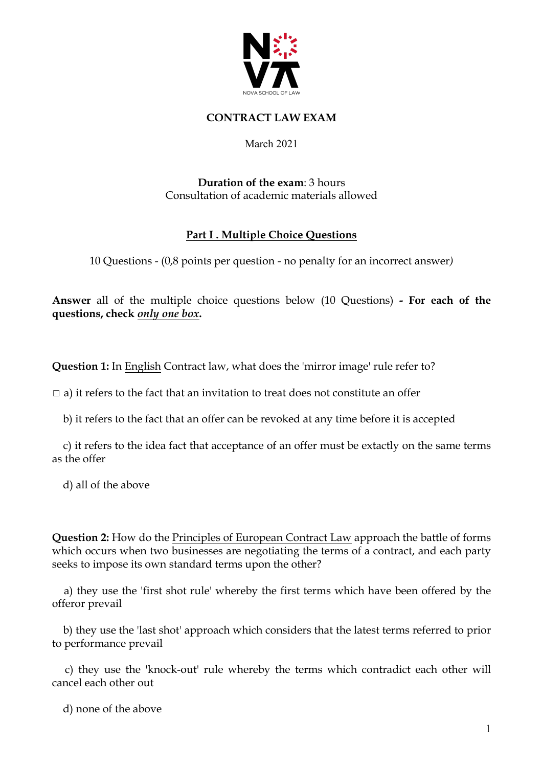

### **CONTRACT LAW EXAM**

#### March 2021

### **Duration of the exam**: 3 hours Consultation of academic materials allowed

## **Part I . Multiple Choice Questions**

10 Questions - (0,8 points per question - no penalty for an incorrect answer*)*

**Answer** all of the multiple choice questions below (10 Questions) **- For each of the questions, check** *only one box***.**

**Question 1:** In English Contract law, what does the 'mirror image' rule refer to?

 $\Box$  a) it refers to the fact that an invitation to treat does not constitute an offer

b) it refers to the fact that an offer can be revoked at any time before it is accepted

 c) it refers to the idea fact that acceptance of an offer must be extactly on the same terms as the offer

d) all of the above

**Question 2:** How do the Principles of European Contract Law approach the battle of forms which occurs when two businesses are negotiating the terms of a contract, and each party seeks to impose its own standard terms upon the other?

 a) they use the 'first shot rule' whereby the first terms which have been offered by the offeror prevail

 b) they use the 'last shot' approach which considers that the latest terms referred to prior to performance prevail

 c) they use the 'knock-out' rule whereby the terms which contradict each other will cancel each other out

d) none of the above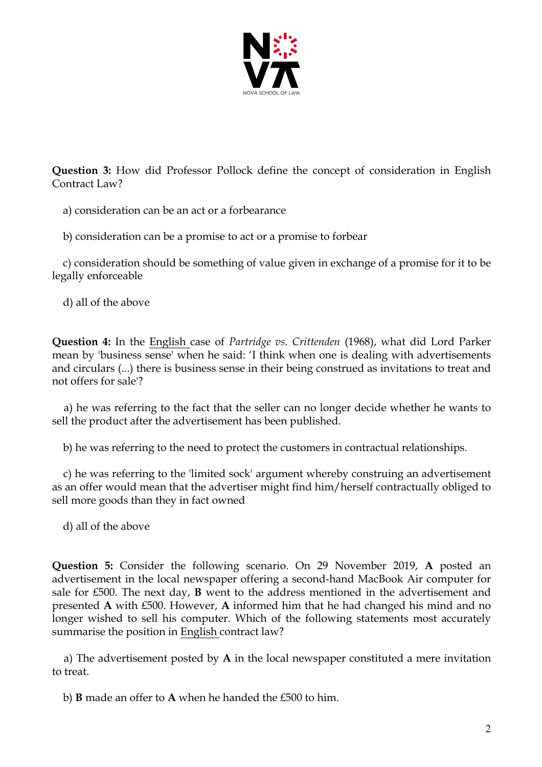

**Question 3:** How did Professor Pollock define the concept of consideration in English Contract Law?

a) consideration can be an act or a forbearance

b) consideration can be a promise to act or a promise to forbear

 c) consideration should be something of value given in exchange of a promise for it to be legally enforceable

d) all of the above

**Question 4:** In the English case of *Partridge vs. Crittenden* (1968), what did Lord Parker mean by 'business sense' when he said: 'I think when one is dealing with advertisements and circulars (...) there is business sense in their being construed as invitations to treat and not offers for sale'?

 a) he was referring to the fact that the seller can no longer decide whether he wants to sell the product after the advertisement has been published.

b) he was referring to the need to protect the customers in contractual relationships.

 c) he was referring to the 'limited sock' argument whereby construing an advertisement as an offer would mean that the advertiser might find him/herself contractually obliged to sell more goods than they in fact owned

d) all of the above

**Question 5:** Consider the following scenario. On 29 November 2019, **A** posted an advertisement in the local newspaper offering a second-hand MacBook Air computer for sale for £500. The next day, **B** went to the address mentioned in the advertisement and presented **A** with £500. However, **A** informed him that he had changed his mind and no longer wished to sell his computer. Which of the following statements most accurately summarise the position in English contract law?

 a) The advertisement posted by **A** in the local newspaper constituted a mere invitation to treat.

b) **B** made an offer to **A** when he handed the £500 to him.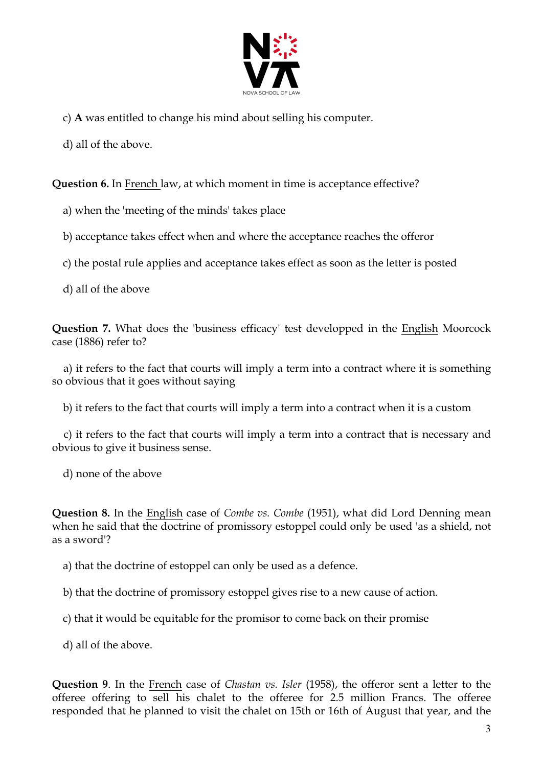

- c) **A** was entitled to change his mind about selling his computer.
- d) all of the above.

**Question 6.** In French law, at which moment in time is acceptance effective?

- a) when the 'meeting of the minds' takes place
- b) acceptance takes effect when and where the acceptance reaches the offeror
- c) the postal rule applies and acceptance takes effect as soon as the letter is posted
- d) all of the above

**Question 7.** What does the 'business efficacy' test developped in the English Moorcock case (1886) refer to?

 a) it refers to the fact that courts will imply a term into a contract where it is something so obvious that it goes without saying

b) it refers to the fact that courts will imply a term into a contract when it is a custom

 c) it refers to the fact that courts will imply a term into a contract that is necessary and obvious to give it business sense.

d) none of the above

**Question 8.** In the English case of *Combe vs. Combe* (1951), what did Lord Denning mean when he said that the doctrine of promissory estoppel could only be used 'as a shield, not as a sword'?

a) that the doctrine of estoppel can only be used as a defence.

b) that the doctrine of promissory estoppel gives rise to a new cause of action.

c) that it would be equitable for the promisor to come back on their promise

d) all of the above.

**Question 9**. In the French case of *Chastan vs. Isler* (1958), the offeror sent a letter to the offeree offering to sell his chalet to the offeree for 2.5 million Francs. The offeree responded that he planned to visit the chalet on 15th or 16th of August that year, and the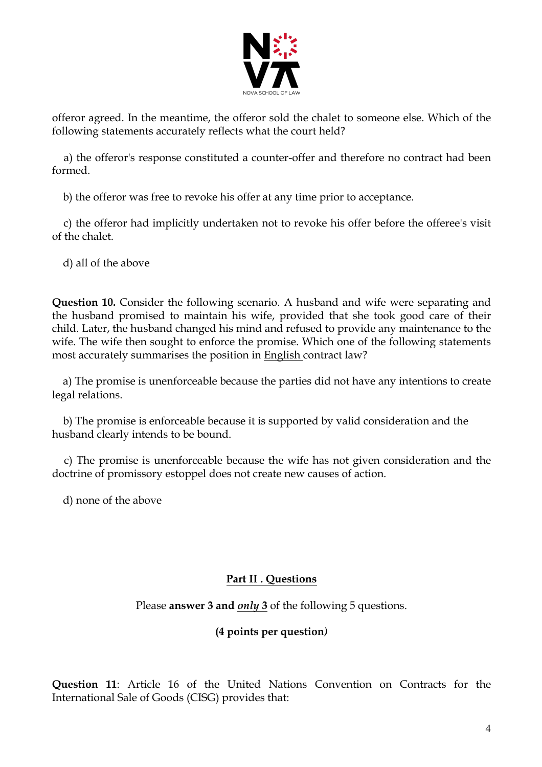

offeror agreed. In the meantime, the offeror sold the chalet to someone else. Which of the following statements accurately reflects what the court held?

 a) the offeror's response constituted a counter-offer and therefore no contract had been formed.

b) the offeror was free to revoke his offer at any time prior to acceptance.

 c) the offeror had implicitly undertaken not to revoke his offer before the offeree's visit of the chalet.

d) all of the above

**Question 10.** Consider the following scenario. A husband and wife were separating and the husband promised to maintain his wife, provided that she took good care of their child. Later, the husband changed his mind and refused to provide any maintenance to the wife. The wife then sought to enforce the promise. Which one of the following statements most accurately summarises the position in English contract law?

 a) The promise is unenforceable because the parties did not have any intentions to create legal relations.

 b) The promise is enforceable because it is supported by valid consideration and the husband clearly intends to be bound.

 c) The promise is unenforceable because the wife has not given consideration and the doctrine of promissory estoppel does not create new causes of action.

d) none of the above

# **Part II . Questions**

# Please **answer 3 and** *only* **3** of the following 5 questions.

### **(4 points per question***)*

**Question 11**: Article 16 of the United Nations Convention on Contracts for the International Sale of Goods (CISG) provides that: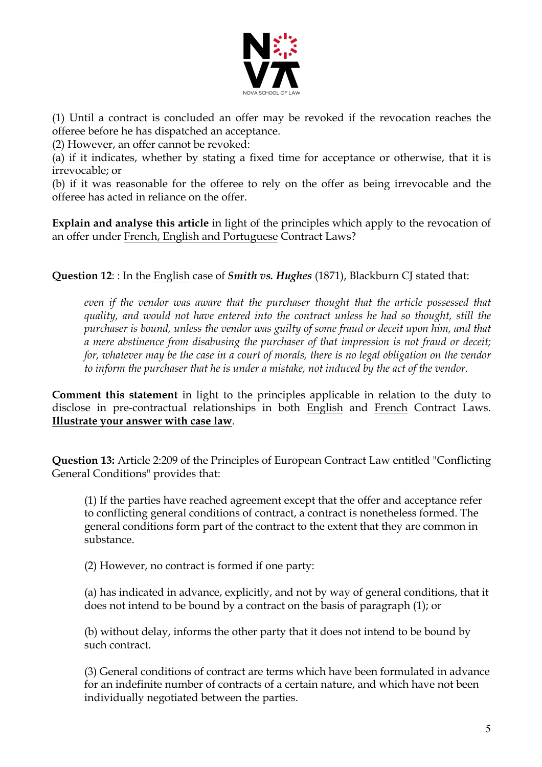

(1) Until a contract is concluded an offer may be revoked if the revocation reaches the offeree before he has dispatched an acceptance.

(2) However, an offer cannot be revoked:

(a) if it indicates, whether by stating a fixed time for acceptance or otherwise, that it is irrevocable; or

(b) if it was reasonable for the offeree to rely on the offer as being irrevocable and the offeree has acted in reliance on the offer.

**Explain and analyse this article** in light of the principles which apply to the revocation of an offer under French, English and Portuguese Contract Laws?

**Question 12**: : In the English case of *Smith vs. Hughes* (1871), Blackburn CJ stated that:

*even if the vendor was aware that the purchaser thought that the article possessed that quality, and would not have entered into the contract unless he had so thought, still the purchaser is bound, unless the vendor was guilty of some fraud or deceit upon him, and that a mere abstinence from disabusing the purchaser of that impression is not fraud or deceit;*  for, whatever may be the case in a court of morals, there is no legal obligation on the vendor *to inform the purchaser that he is under a mistake, not induced by the act of the vendor.*

**Comment this statement** in light to the principles applicable in relation to the duty to disclose in pre-contractual relationships in both English and French Contract Laws. **Illustrate your answer with case law**.

**Question 13:** Article 2:209 of the Principles of European Contract Law entitled "Conflicting General Conditions" provides that:

(1) If the parties have reached agreement except that the offer and acceptance refer to conflicting general conditions of contract, a contract is nonetheless formed. The general conditions form part of the contract to the extent that they are common in substance.

(2) However, no contract is formed if one party:

(a) has indicated in advance, explicitly, and not by way of general conditions, that it does not intend to be bound by a contract on the basis of paragraph (1); or

(b) without delay, informs the other party that it does not intend to be bound by such contract.

(3) General conditions of contract are terms which have been formulated in advance for an indefinite number of contracts of a certain nature, and which have not been individually negotiated between the parties.